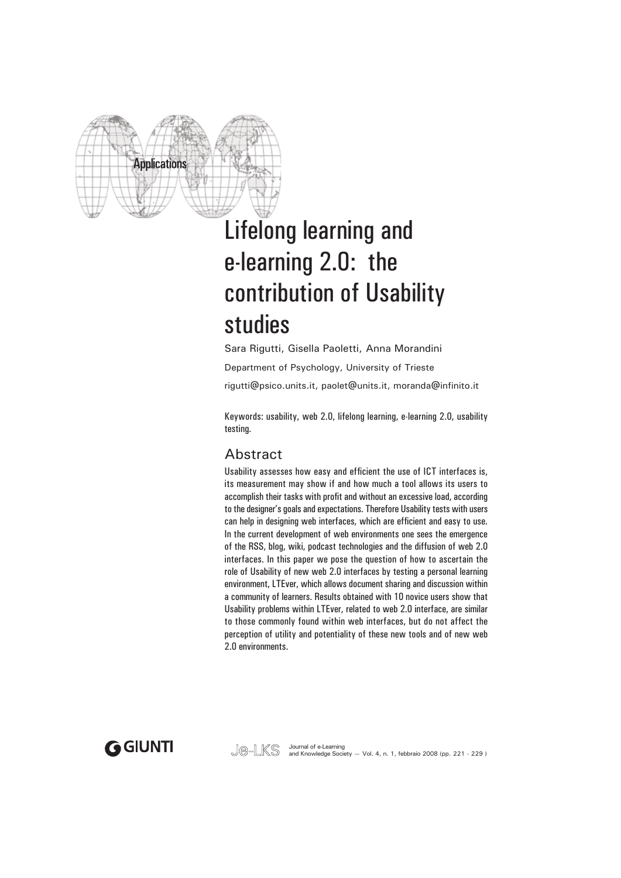

# Lifelong learning and e-learning 2.0: the contribution of Usability studies

Sara Rigutti, Gisella Paoletti, Anna Morandini Department of Psychology, University of Trieste rigutti@psico.units.it, paolet@units.it, moranda@infinito.it

Keywords: usability, web 2.0, lifelong learning, e-learning 2.0, usability testing.

## Abstract

Usability assesses how easy and efficient the use of ICT interfaces is, its measurement may show if and how much a tool allows its users to accomplish their tasks with profit and without an excessive load, according to the designer's goals and expectations. Therefore Usability tests with users can help in designing web interfaces, which are efficient and easy to use. In the current development of web environments one sees the emergence of the RSS, blog, wiki, podcast technologies and the diffusion of web 2.0 interfaces. In this paper we pose the question of how to ascertain the role of Usability of new web 2.0 interfaces by testing a personal learning environment, LTEver, which allows document sharing and discussion within a community of learners. Results obtained with 10 novice users show that Usability problems within LTEver, related to web 2.0 interface, are similar to those commonly found within web interfaces, but do not affect the perception of utility and potentiality of these new tools and of new web 2.0 environments.

**GGIUNTI** 

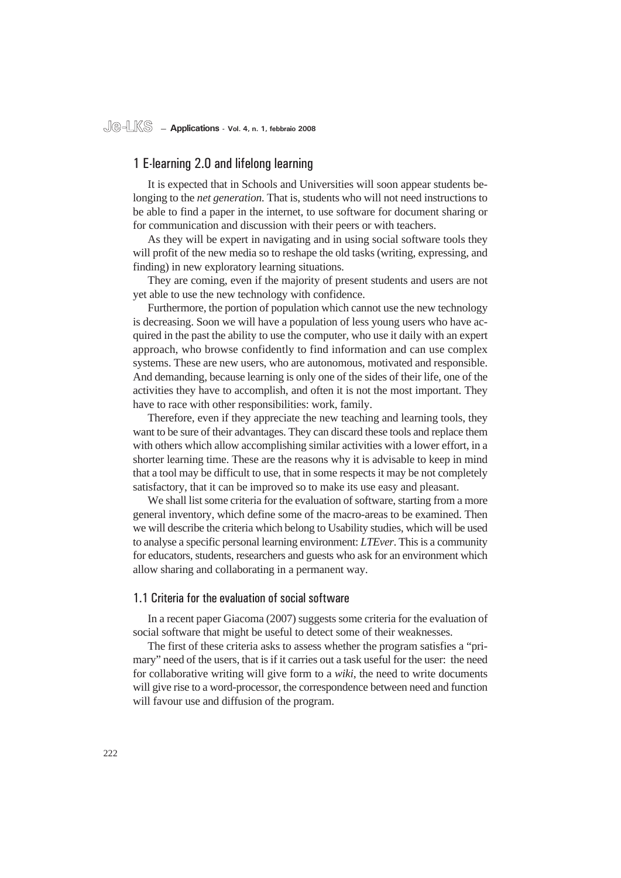#### 1 E-learning 2.0 and lifelong learning

It is expected that in Schools and Universities will soon appear students belonging to the *net generation.* That is, students who will not need instructions to be able to find a paper in the internet, to use software for document sharing or for communication and discussion with their peers or with teachers.

As they will be expert in navigating and in using social software tools they will profit of the new media so to reshape the old tasks (writing, expressing, and finding) in new exploratory learning situations.

They are coming, even if the majority of present students and users are not yet able to use the new technology with confidence.

Furthermore, the portion of population which cannot use the new technology is decreasing. Soon we will have a population of less young users who have acquired in the past the ability to use the computer, who use it daily with an expert approach, who browse confidently to find information and can use complex systems. These are new users, who are autonomous, motivated and responsible. And demanding, because learning is only one of the sides of their life, one of the activities they have to accomplish, and often it is not the most important. They have to race with other responsibilities: work, family.

Therefore, even if they appreciate the new teaching and learning tools, they want to be sure of their advantages. They can discard these tools and replace them with others which allow accomplishing similar activities with a lower effort, in a shorter learning time. These are the reasons why it is advisable to keep in mind that a tool may be difficult to use, that in some respects it may be not completely satisfactory, that it can be improved so to make its use easy and pleasant.

We shall list some criteria for the evaluation of software, starting from a more general inventory, which define some of the macro-areas to be examined. Then we will describe the criteria which belong to Usability studies, which will be used to analyse a specific personal learning environment: *LTEver*. This is a community for educators, students, researchers and guests who ask for an environment which allow sharing and collaborating in a permanent way.

#### 1.1 Criteria for the evaluation of social software

In a recent paper Giacoma (2007) suggests some criteria for the evaluation of social software that might be useful to detect some of their weaknesses.

The first of these criteria asks to assess whether the program satisfies a "primary" need of the users, that is if it carries out a task useful for the user: the need for collaborative writing will give form to a *wiki*, the need to write documents will give rise to a word-processor, the correspondence between need and function will favour use and diffusion of the program.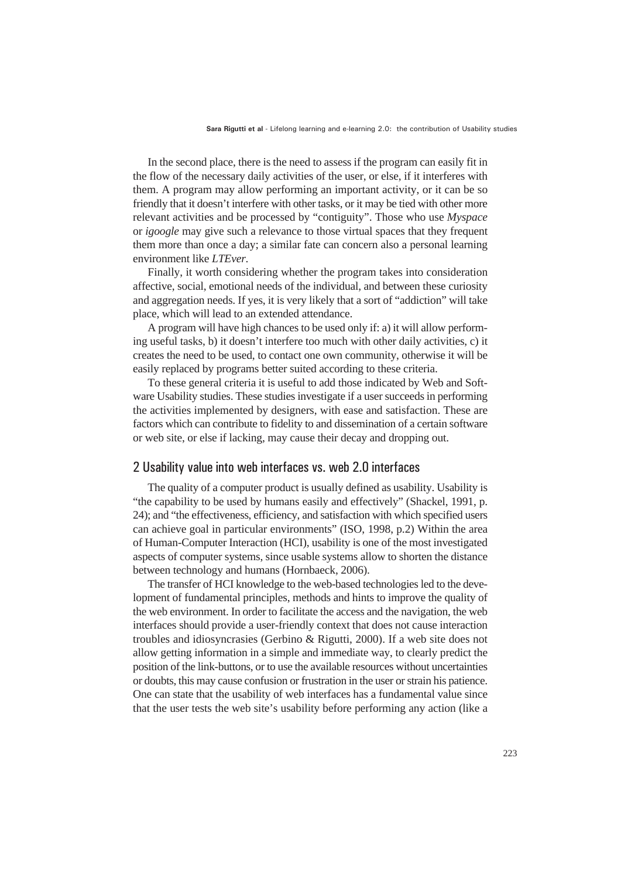In the second place, there is the need to assess if the program can easily fit in the flow of the necessary daily activities of the user, or else, if it interferes with them. A program may allow performing an important activity, or it can be so friendly that it doesn't interfere with other tasks, or it may be tied with other more relevant activities and be processed by "contiguity". Those who use *Myspace* or *igoogle* may give such a relevance to those virtual spaces that they frequent them more than once a day; a similar fate can concern also a personal learning environment like *LTEver*.

Finally, it worth considering whether the program takes into consideration affective, social, emotional needs of the individual, and between these curiosity and aggregation needs. If yes, it is very likely that a sort of "addiction" will take place, which will lead to an extended attendance.

A program will have high chances to be used only if: a) it will allow performing useful tasks, b) it doesn't interfere too much with other daily activities, c) it creates the need to be used, to contact one own community, otherwise it will be easily replaced by programs better suited according to these criteria.

To these general criteria it is useful to add those indicated by Web and Software Usability studies. These studies investigate if a user succeeds in performing the activities implemented by designers, with ease and satisfaction. These are factors which can contribute to fidelity to and dissemination of a certain software or web site, or else if lacking, may cause their decay and dropping out.

#### 2 Usability value into web interfaces vs. web 2.0 interfaces

The quality of a computer product is usually defined as usability. Usability is "the capability to be used by humans easily and effectively" (Shackel, 1991, p. 24); and "the effectiveness, efficiency, and satisfaction with which specified users can achieve goal in particular environments" (ISO, 1998, p.2) Within the area of Human-Computer Interaction (HCI), usability is one of the most investigated aspects of computer systems, since usable systems allow to shorten the distance between technology and humans (Hornbaeck, 2006).

The transfer of HCI knowledge to the web-based technologies led to the development of fundamental principles, methods and hints to improve the quality of the web environment. In order to facilitate the access and the navigation, the web interfaces should provide a user-friendly context that does not cause interaction troubles and idiosyncrasies (Gerbino & Rigutti, 2000). If a web site does not allow getting information in a simple and immediate way, to clearly predict the position of the link-buttons, or to use the available resources without uncertainties or doubts, this may cause confusion or frustration in the user or strain his patience. One can state that the usability of web interfaces has a fundamental value since that the user tests the web site's usability before performing any action (like a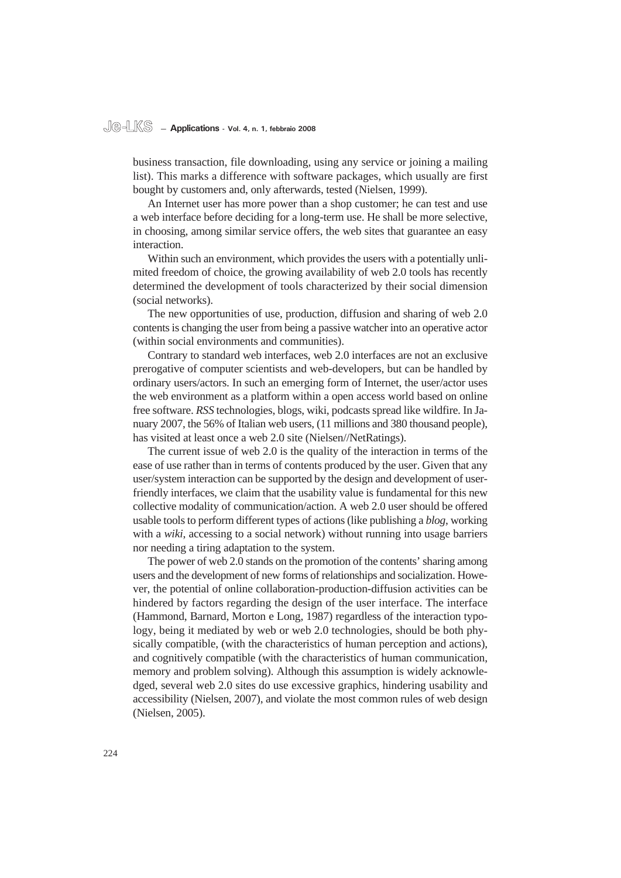#### **Je-LKS — Applications - Vol. 4, n. 1, febbraio 2008**

business transaction, file downloading, using any service or joining a mailing list). This marks a difference with software packages, which usually are first bought by customers and, only afterwards, tested (Nielsen, 1999).

An Internet user has more power than a shop customer; he can test and use a web interface before deciding for a long-term use. He shall be more selective, in choosing, among similar service offers, the web sites that guarantee an easy interaction.

Within such an environment, which provides the users with a potentially unlimited freedom of choice, the growing availability of web 2.0 tools has recently determined the development of tools characterized by their social dimension (social networks).

The new opportunities of use, production, diffusion and sharing of web 2.0 contents is changing the user from being a passive watcher into an operative actor (within social environments and communities).

Contrary to standard web interfaces, web 2.0 interfaces are not an exclusive prerogative of computer scientists and web-developers, but can be handled by ordinary users/actors. In such an emerging form of Internet, the user/actor uses the web environment as a platform within a open access world based on online free software. *RSS* technologies, blogs, wiki, podcasts spread like wildfire. In January 2007, the 56% of Italian web users, (11 millions and 380 thousand people), has visited at least once a web 2.0 site (Nielsen//NetRatings).

The current issue of web 2.0 is the quality of the interaction in terms of the ease of use rather than in terms of contents produced by the user. Given that any user/system interaction can be supported by the design and development of userfriendly interfaces, we claim that the usability value is fundamental for this new collective modality of communication/action. A web 2.0 user should be offered usable tools to perform different types of actions (like publishing a *blog*, working with a *wiki*, accessing to a social network) without running into usage barriers nor needing a tiring adaptation to the system.

The power of web 2.0 stands on the promotion of the contents' sharing among users and the development of new forms of relationships and socialization. However, the potential of online collaboration-production-diffusion activities can be hindered by factors regarding the design of the user interface. The interface (Hammond, Barnard, Morton e Long, 1987) regardless of the interaction typology, being it mediated by web or web 2.0 technologies, should be both physically compatible, (with the characteristics of human perception and actions), and cognitively compatible (with the characteristics of human communication, memory and problem solving). Although this assumption is widely acknowledged, several web 2.0 sites do use excessive graphics, hindering usability and accessibility (Nielsen, 2007), and violate the most common rules of web design (Nielsen, 2005).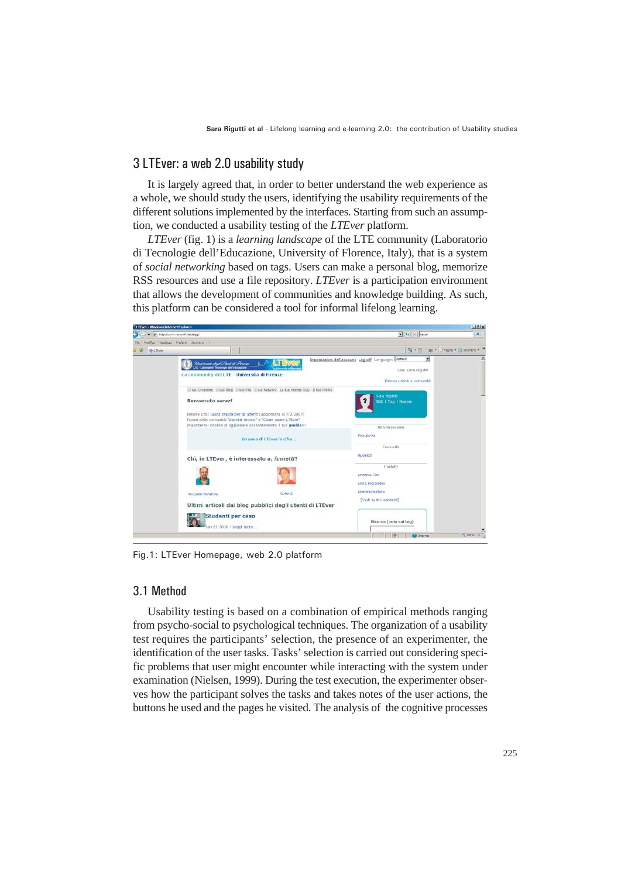### 3 LTEver: a web 2.0 usability study

It is largely agreed that, in order to better understand the web experience as a whole, we should study the users, identifying the usability requirements of the different solutions implemented by the interfaces. Starting from such an assumption, we conducted a usability testing of the *LTEver* platform.

*LTEver* (fig. 1) is a *learning landscape* of the LTE community (Laboratorio di Tecnologie dell'Educazione, University of Florence, Italy), that is a system of *social networking* based on tags. Users can make a personal blog, memorize RSS resources and use a file repository. *LTEver* is a participation environment that allows the development of communities and knowledge building. As such, this platform can be considered a tool for informal lifelong learning.



Fig.1: LTEver Homepage, web 2.0 platform

### 3.1 Method

Usability testing is based on a combination of empirical methods ranging from psycho-social to psychological techniques. The organization of a usability test requires the participants' selection, the presence of an experimenter, the identification of the user tasks. Tasks' selection is carried out considering specific problems that user might encounter while interacting with the system under examination (Nielsen, 1999). During the test execution, the experimenter observes how the participant solves the tasks and takes notes of the user actions, the buttons he used and the pages he visited. The analysis of the cognitive processes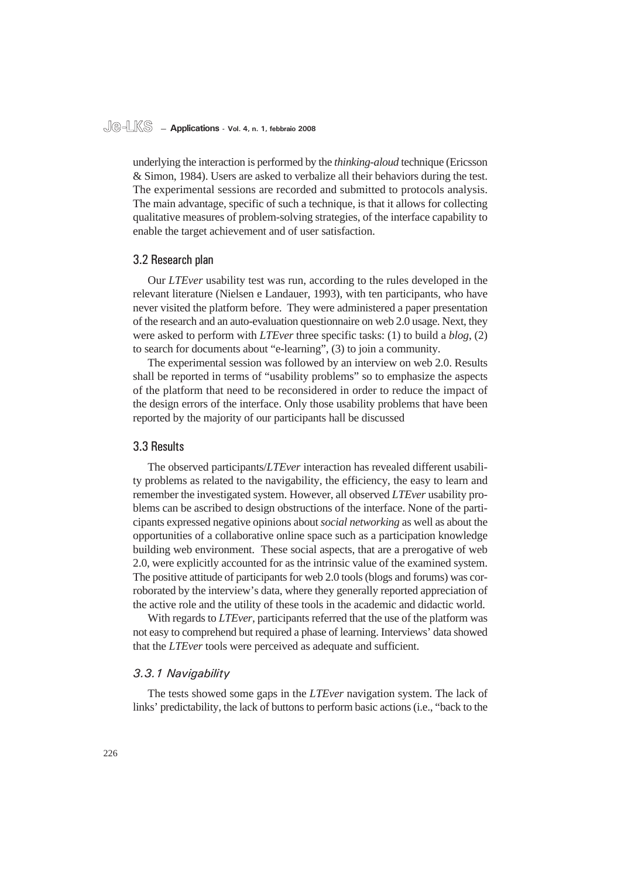#### **Je-LKS — Applications - Vol. 4, n. 1, febbraio 2008**

underlying the interaction is performed by the *thinking-aloud* technique (Ericsson & Simon, 1984). Users are asked to verbalize all their behaviors during the test. The experimental sessions are recorded and submitted to protocols analysis. The main advantage, specific of such a technique, is that it allows for collecting qualitative measures of problem-solving strategies, of the interface capability to enable the target achievement and of user satisfaction.

#### 3.2 Research plan

Our *LTEver* usability test was run, according to the rules developed in the relevant literature (Nielsen e Landauer, 1993), with ten participants, who have never visited the platform before. They were administered a paper presentation of the research and an auto-evaluation questionnaire on web 2.0 usage. Next, they were asked to perform with *LTEver* three specific tasks: (1) to build a *blog*, (2) to search for documents about "e-learning", (3) to join a community.

The experimental session was followed by an interview on web 2.0. Results shall be reported in terms of "usability problems" so to emphasize the aspects of the platform that need to be reconsidered in order to reduce the impact of the design errors of the interface. Only those usability problems that have been reported by the majority of our participants hall be discussed

#### 3.3 Results

The observed participants/*LTEver* interaction has revealed different usability problems as related to the navigability, the efficiency, the easy to learn and remember the investigated system. However, all observed *LTEver* usability problems can be ascribed to design obstructions of the interface. None of the participants expressed negative opinions about *social networking* as well as about the opportunities of a collaborative online space such as a participation knowledge building web environment. These social aspects, that are a prerogative of web 2.0, were explicitly accounted for as the intrinsic value of the examined system. The positive attitude of participants for web 2.0 tools (blogs and forums) was corroborated by the interview's data, where they generally reported appreciation of the active role and the utility of these tools in the academic and didactic world.

With regards to *LTEver*, participants referred that the use of the platform was not easy to comprehend but required a phase of learning. Interviews' data showed that the *LTEver* tools were perceived as adequate and sufficient.

#### *3.3.1 Navigability*

The tests showed some gaps in the *LTEver* navigation system. The lack of links' predictability, the lack of buttons to perform basic actions (i.e., "back to the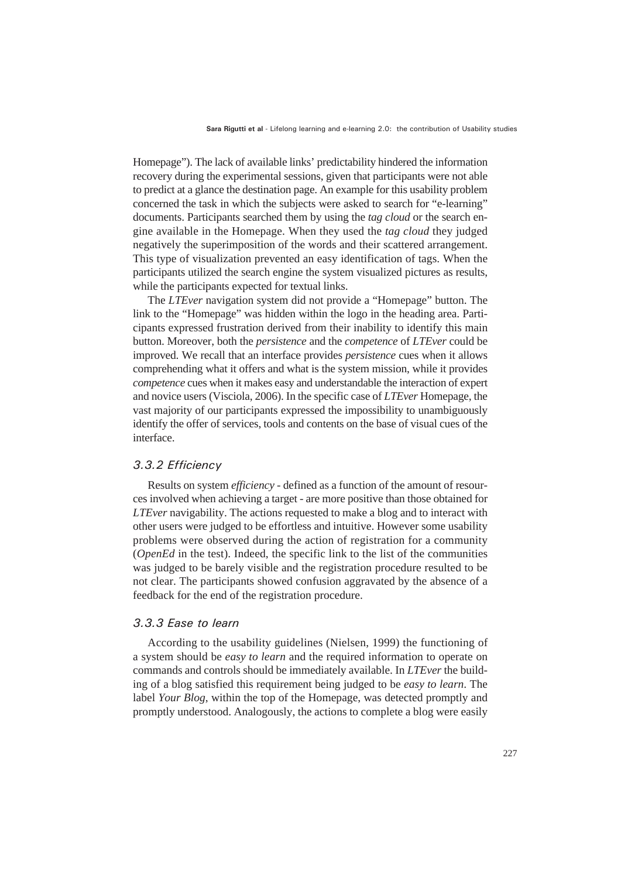Homepage"). The lack of available links' predictability hindered the information recovery during the experimental sessions, given that participants were not able to predict at a glance the destination page. An example for this usability problem concerned the task in which the subjects were asked to search for "e-learning" documents. Participants searched them by using the *tag cloud* or the search engine available in the Homepage. When they used the *tag cloud* they judged negatively the superimposition of the words and their scattered arrangement. This type of visualization prevented an easy identification of tags. When the participants utilized the search engine the system visualized pictures as results, while the participants expected for textual links.

The *LTEver* navigation system did not provide a "Homepage" button. The link to the "Homepage" was hidden within the logo in the heading area. Participants expressed frustration derived from their inability to identify this main button. Moreover, both the *persistence* and the *competence* of *LTEver* could be improved. We recall that an interface provides *persistence* cues when it allows comprehending what it offers and what is the system mission, while it provides *competence* cues when it makes easy and understandable the interaction of expert and novice users (Visciola, 2006). In the specific case of *LTEver* Homepage, the vast majority of our participants expressed the impossibility to unambiguously identify the offer of services, tools and contents on the base of visual cues of the interface.

#### *3.3.2 Effi ciency*

Results on system *efficiency* - defined as a function of the amount of resources involved when achieving a target - are more positive than those obtained for *LTEver* navigability. The actions requested to make a blog and to interact with other users were judged to be effortless and intuitive. However some usability problems were observed during the action of registration for a community (*OpenEd* in the test). Indeed, the specific link to the list of the communities was judged to be barely visible and the registration procedure resulted to be not clear. The participants showed confusion aggravated by the absence of a feedback for the end of the registration procedure.

#### *3.3.3 Ease to learn*

According to the usability guidelines (Nielsen, 1999) the functioning of a system should be *easy to learn* and the required information to operate on commands and controls should be immediately available. In *LTEver* the building of a blog satisfied this requirement being judged to be *easy to learn*. The label *Your Blog*, within the top of the Homepage, was detected promptly and promptly understood. Analogously, the actions to complete a blog were easily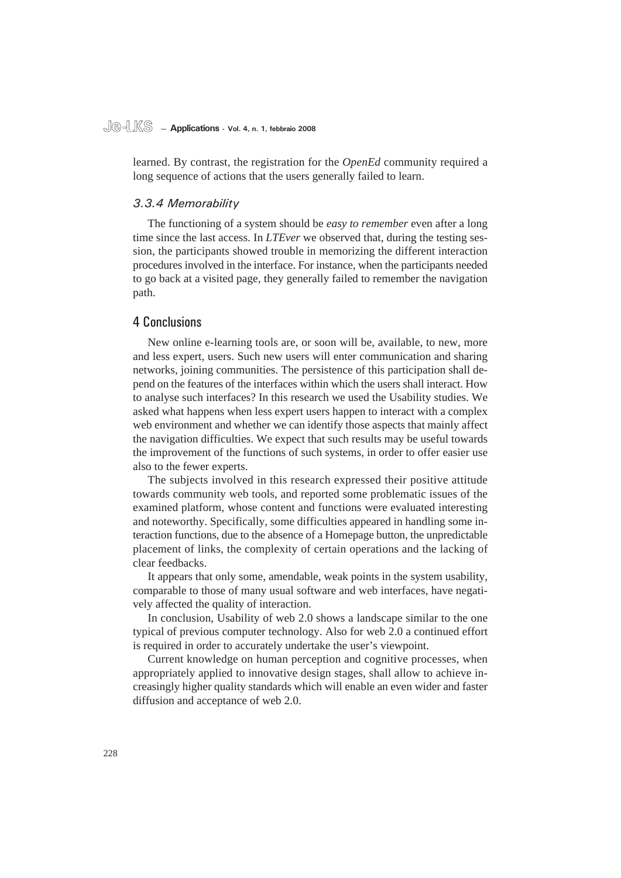# **Je-LKS — Applications - Vol. 4, n. 1, febbraio 2008**

learned. By contrast, the registration for the *OpenEd* community required a long sequence of actions that the users generally failed to learn.

#### *3.3.4 Memorability*

The functioning of a system should be *easy to remember* even after a long time since the last access. In *LTEver* we observed that, during the testing session, the participants showed trouble in memorizing the different interaction procedures involved in the interface. For instance, when the participants needed to go back at a visited page, they generally failed to remember the navigation path.

#### 4 Conclusions

New online e-learning tools are, or soon will be, available, to new, more and less expert, users. Such new users will enter communication and sharing networks, joining communities. The persistence of this participation shall depend on the features of the interfaces within which the users shall interact. How to analyse such interfaces? In this research we used the Usability studies. We asked what happens when less expert users happen to interact with a complex web environment and whether we can identify those aspects that mainly affect the navigation difficulties. We expect that such results may be useful towards the improvement of the functions of such systems, in order to offer easier use also to the fewer experts.

The subjects involved in this research expressed their positive attitude towards community web tools, and reported some problematic issues of the examined platform, whose content and functions were evaluated interesting and noteworthy. Specifically, some difficulties appeared in handling some interaction functions, due to the absence of a Homepage button, the unpredictable placement of links, the complexity of certain operations and the lacking of clear feedbacks.

It appears that only some, amendable, weak points in the system usability, comparable to those of many usual software and web interfaces, have negatively affected the quality of interaction.

In conclusion, Usability of web 2.0 shows a landscape similar to the one typical of previous computer technology. Also for web 2.0 a continued effort is required in order to accurately undertake the user's viewpoint.

Current knowledge on human perception and cognitive processes, when appropriately applied to innovative design stages, shall allow to achieve increasingly higher quality standards which will enable an even wider and faster diffusion and acceptance of web 2.0.